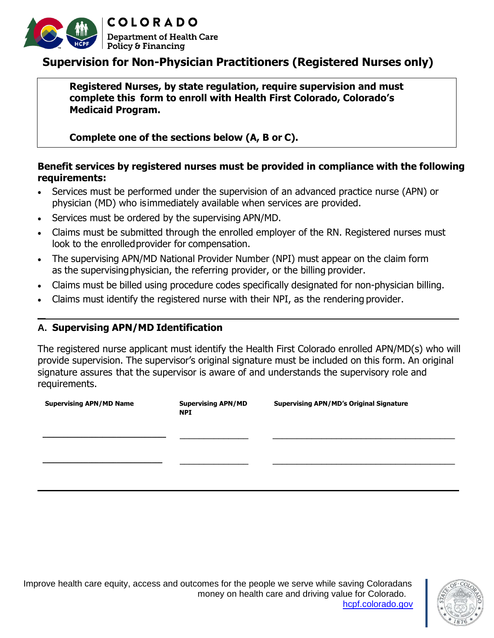

# **Supervision for Non-Physician Practitioners (Registered Nurses only)**

**Registered Nurses, by state regulation, require supervision and must complete this form to enroll with Health First Colorado, Colorado's Medicaid Program.**

**Complete one of the sections below (A, B or C).**

## **Benefit services by registered nurses must be provided in compliance with the following requirements:**

- Services must be performed under the supervision of an advanced practice nurse (APN) or physician (MD) who isimmediately available when services are provided.
- Services must be ordered by the supervising APN/MD.
- Claims must be submitted through the enrolled employer of the RN. Registered nurses must look to the enrolledprovider for compensation.
- The supervising APN/MD National Provider Number (NPI) must appear on the claim form as the supervisingphysician, the referring provider, or the billing provider.
- Claims must be billed using procedure codes specifically designated for non-physician billing.
- Claims must identify the registered nurse with their NPI, as the rendering provider.

#### **A. Supervising APN/MD Identification**

**\_**

The registered nurse applicant must identify the Health First Colorado enrolled APN/MD(s) who will provide supervision. The supervisor's original signature must be included on this form. An original signature assures that the supervisor is aware of and understands the supervisory role and requirements.

| <b>Supervising APN/MD Name</b> | <b>Supervising APN/MD</b><br><b>NPI</b> | <b>Supervising APN/MD's Original Signature</b> |
|--------------------------------|-----------------------------------------|------------------------------------------------|
|                                |                                         |                                                |
|                                |                                         |                                                |



Improve health care equity, access and outcomes for the people we serve while saving Coloradans money on health care and driving value for Colorado. [hcpf.colorado.gov](https://hcpf.colorado.gov/)